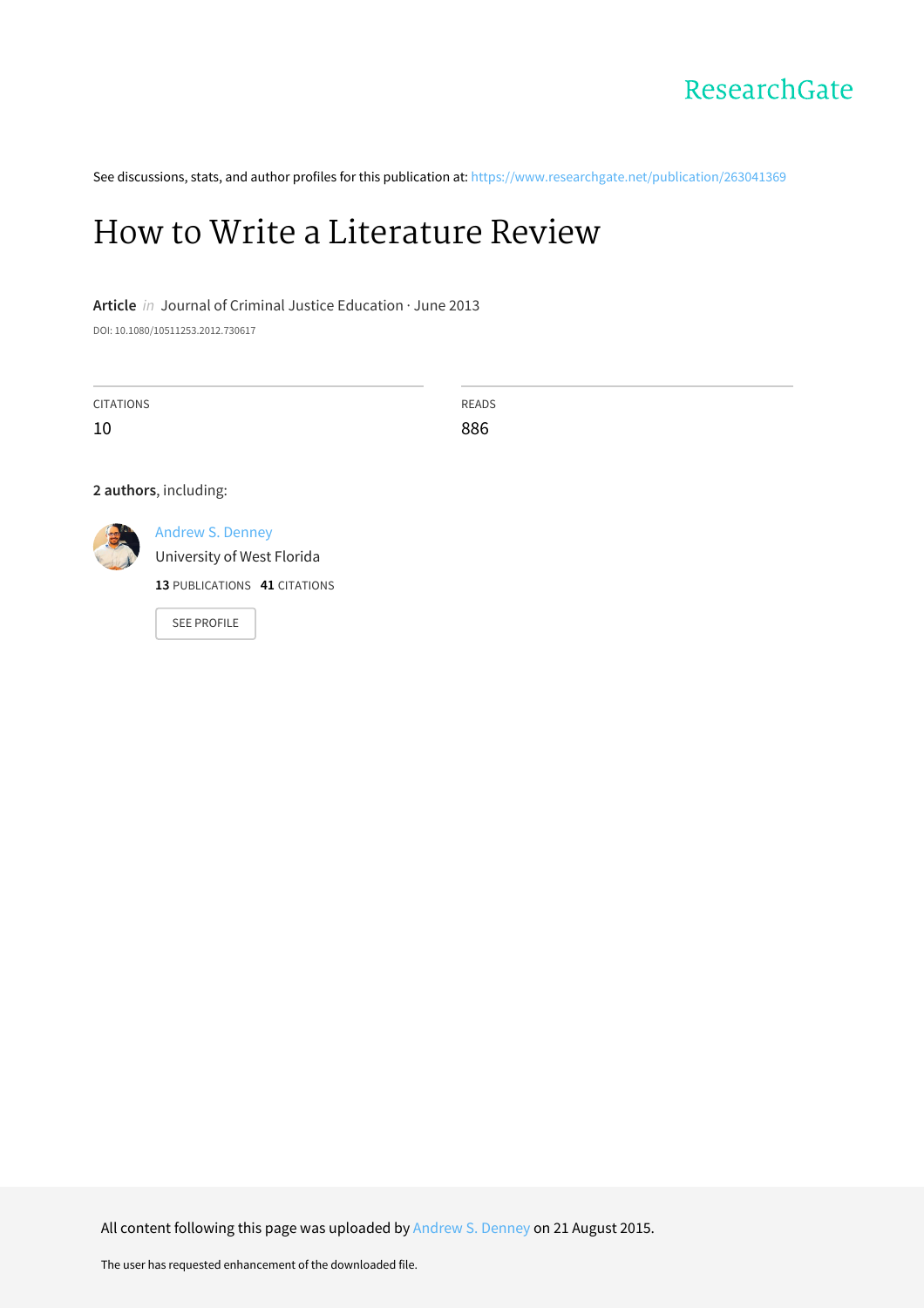See discussions, stats, and author profiles for this publication at: [https://www.researchgate.net/publication/263041369](https://www.researchgate.net/publication/263041369_How_to_Write_a_Literature_Review?enrichId=rgreq-bea30879aeb8f7981e7850d495fdee6a-XXX&enrichSource=Y292ZXJQYWdlOzI2MzA0MTM2OTtBUzoyNjQ2ODkzODkxNDIwMTZAMTQ0MDExODI3NjEyMQ%3D%3D&el=1_x_2&_esc=publicationCoverPdf)

# How to Write a [Literature](https://www.researchgate.net/publication/263041369_How_to_Write_a_Literature_Review?enrichId=rgreq-bea30879aeb8f7981e7850d495fdee6a-XXX&enrichSource=Y292ZXJQYWdlOzI2MzA0MTM2OTtBUzoyNjQ2ODkzODkxNDIwMTZAMTQ0MDExODI3NjEyMQ%3D%3D&el=1_x_3&_esc=publicationCoverPdf) Review

**Article** in Journal of Criminal Justice Education · June 2013

DOI: 10.1080/10511253.2012.730617

| CITATIONS | <b>READS</b> |
|-----------|--------------|
| 10        | 886          |

### **2 authors**, including:



[Andrew](https://www.researchgate.net/profile/Andrew_Denney?enrichId=rgreq-bea30879aeb8f7981e7850d495fdee6a-XXX&enrichSource=Y292ZXJQYWdlOzI2MzA0MTM2OTtBUzoyNjQ2ODkzODkxNDIwMTZAMTQ0MDExODI3NjEyMQ%3D%3D&el=1_x_5&_esc=publicationCoverPdf) S. Denney [University](https://www.researchgate.net/institution/University_of_West_Florida?enrichId=rgreq-bea30879aeb8f7981e7850d495fdee6a-XXX&enrichSource=Y292ZXJQYWdlOzI2MzA0MTM2OTtBUzoyNjQ2ODkzODkxNDIwMTZAMTQ0MDExODI3NjEyMQ%3D%3D&el=1_x_6&_esc=publicationCoverPdf) of West Florida **13** PUBLICATIONS **41** CITATIONS

SEE [PROFILE](https://www.researchgate.net/profile/Andrew_Denney?enrichId=rgreq-bea30879aeb8f7981e7850d495fdee6a-XXX&enrichSource=Y292ZXJQYWdlOzI2MzA0MTM2OTtBUzoyNjQ2ODkzODkxNDIwMTZAMTQ0MDExODI3NjEyMQ%3D%3D&el=1_x_7&_esc=publicationCoverPdf)

All content following this page was uploaded by [Andrew](https://www.researchgate.net/profile/Andrew_Denney?enrichId=rgreq-bea30879aeb8f7981e7850d495fdee6a-XXX&enrichSource=Y292ZXJQYWdlOzI2MzA0MTM2OTtBUzoyNjQ2ODkzODkxNDIwMTZAMTQ0MDExODI3NjEyMQ%3D%3D&el=1_x_10&_esc=publicationCoverPdf) S. Denney on 21 August 2015.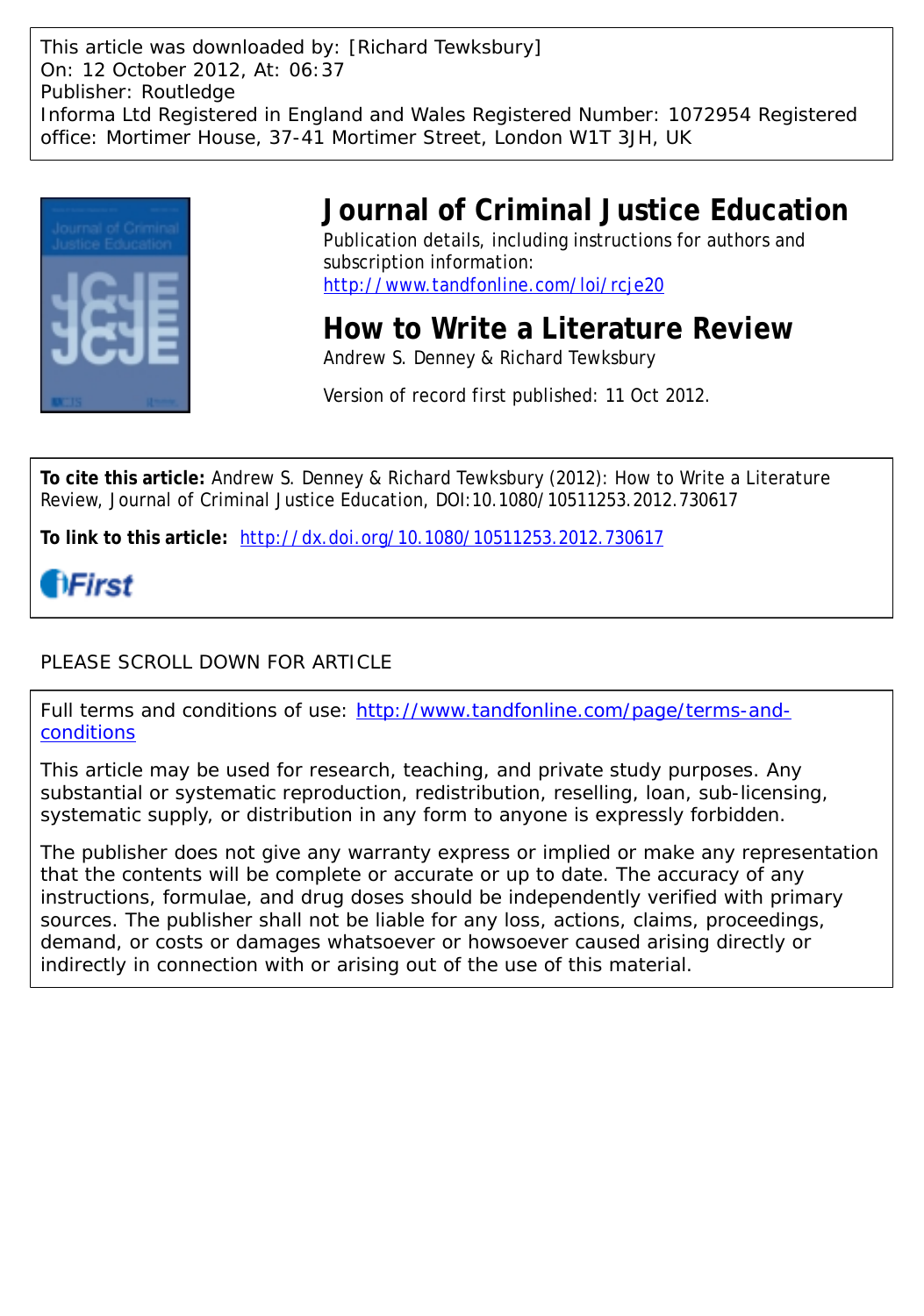This article was downloaded by: [Richard Tewksbury] On: 12 October 2012, At: 06:37 Publisher: Routledge Informa Ltd Registered in England and Wales Registered Number: 1072954 Registered office: Mortimer House, 37-41 Mortimer Street, London W1T 3JH, UK



## **Journal of Criminal Justice Education**

Publication details, including instructions for authors and subscription information: <http://www.tandfonline.com/loi/rcje20>

**How to Write a Literature Review** Andrew S. Denney & Richard Tewksbury

Version of record first published: 11 Oct 2012.

**To cite this article:** Andrew S. Denney & Richard Tewksbury (2012): How to Write a Literature Review, Journal of Criminal Justice Education, DOI:10.1080/10511253.2012.730617

**To link to this article:** <http://dx.doi.org/10.1080/10511253.2012.730617>

## **fiFirst**

### PLEASE SCROLL DOWN FOR ARTICLE

Full terms and conditions of use: [http://www.tandfonline.com/page/terms-and](http://www.tandfonline.com/page/terms-and-conditions)[conditions](http://www.tandfonline.com/page/terms-and-conditions)

This article may be used for research, teaching, and private study purposes. Any substantial or systematic reproduction, redistribution, reselling, loan, sub-licensing, systematic supply, or distribution in any form to anyone is expressly forbidden.

The publisher does not give any warranty express or implied or make any representation that the contents will be complete or accurate or up to date. The accuracy of any instructions, formulae, and drug doses should be independently verified with primary sources. The publisher shall not be liable for any loss, actions, claims, proceedings, demand, or costs or damages whatsoever or howsoever caused arising directly or indirectly in connection with or arising out of the use of this material.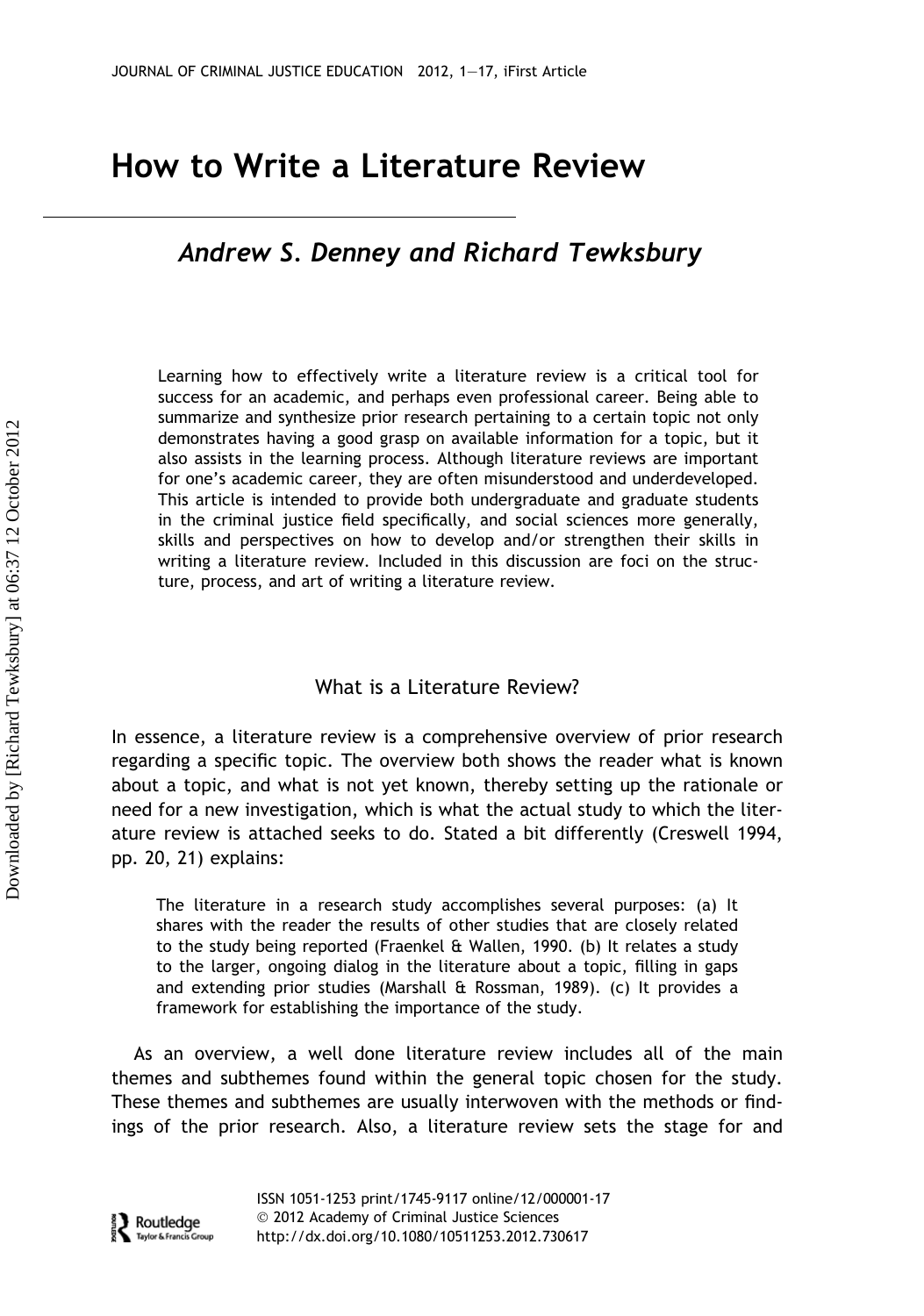## How to Write a Literature Review

## Andrew S. Denney and Richard Tewksbury

Learning how to effectively write a literature review is a critical tool for success for an academic, and perhaps even professional career. Being able to summarize and synthesize prior research pertaining to a certain topic not only demonstrates having a good grasp on available information for a topic, but it also assists in the learning process. Although literature reviews are important for one's academic career, they are often misunderstood and underdeveloped. This article is intended to provide both undergraduate and graduate students in the criminal justice field specifically, and social sciences more generally, skills and perspectives on how to develop and/or strengthen their skills in writing a literature review. Included in this discussion are foci on the structure, process, and art of writing a literature review.

#### What is a Literature Review?

In essence, a literature review is a comprehensive overview of prior research regarding a specific topic. The overview both shows the reader what is known about a topic, and what is not yet known, thereby setting up the rationale or need for a new investigation, which is what the actual study to which the literature review is attached seeks to do. Stated a bit differently (Creswell 1994, pp. 20, 21) explains:

The literature in a research study accomplishes several purposes: (a) It shares with the reader the results of other studies that are closely related to the study being reported (Fraenkel & Wallen, 1990. (b) It relates a study to the larger, ongoing dialog in the literature about a topic, filling in gaps and extending prior studies (Marshall & Rossman, 1989). (c) It provides a framework for establishing the importance of the study.

As an overview, a well done literature review includes all of the main themes and subthemes found within the general topic chosen for the study. These themes and subthemes are usually interwoven with the methods or findings of the prior research. Also, a literature review sets the stage for and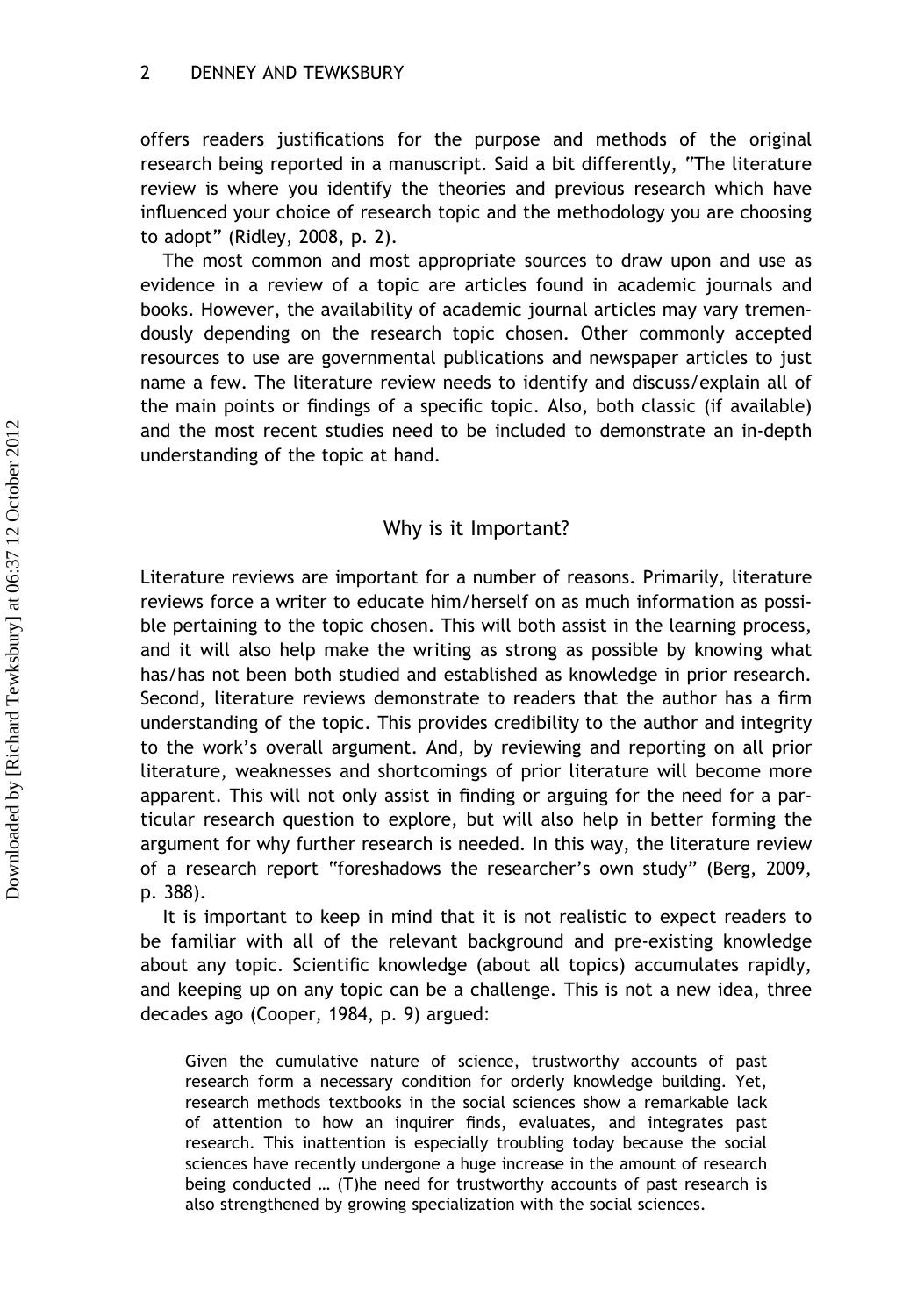offers readers justifications for the purpose and methods of the original research being reported in a manuscript. Said a bit differently, "The literature review is where you identify the theories and previous research which have influenced your choice of research topic and the methodology you are choosing to adopt" (Ridley, 2008, p. 2).

The most common and most appropriate sources to draw upon and use as evidence in a review of a topic are articles found in academic journals and books. However, the availability of academic journal articles may vary tremendously depending on the research topic chosen. Other commonly accepted resources to use are governmental publications and newspaper articles to just name a few. The literature review needs to identify and discuss/explain all of the main points or findings of a specific topic. Also, both classic (if available) and the most recent studies need to be included to demonstrate an in-depth understanding of the topic at hand.

#### Why is it Important?

Literature reviews are important for a number of reasons. Primarily, literature reviews force a writer to educate him/herself on as much information as possible pertaining to the topic chosen. This will both assist in the learning process, and it will also help make the writing as strong as possible by knowing what has/has not been both studied and established as knowledge in prior research. Second, literature reviews demonstrate to readers that the author has a firm understanding of the topic. This provides credibility to the author and integrity to the work's overall argument. And, by reviewing and reporting on all prior literature, weaknesses and shortcomings of prior literature will become more apparent. This will not only assist in finding or arguing for the need for a particular research question to explore, but will also help in better forming the argument for why further research is needed. In this way, the literature review of a research report "foreshadows the researcher's own study" (Berg, 2009, p. 388).

It is important to keep in mind that it is not realistic to expect readers to be familiar with all of the relevant background and pre-existing knowledge about any topic. Scientific knowledge (about all topics) accumulates rapidly, and keeping up on any topic can be a challenge. This is not a new idea, three decades ago (Cooper, 1984, p. 9) argued:

Given the cumulative nature of science, trustworthy accounts of past research form a necessary condition for orderly knowledge building. Yet, research methods textbooks in the social sciences show a remarkable lack of attention to how an inquirer finds, evaluates, and integrates past research. This inattention is especially troubling today because the social sciences have recently undergone a huge increase in the amount of research being conducted … (T)he need for trustworthy accounts of past research is also strengthened by growing specialization with the social sciences.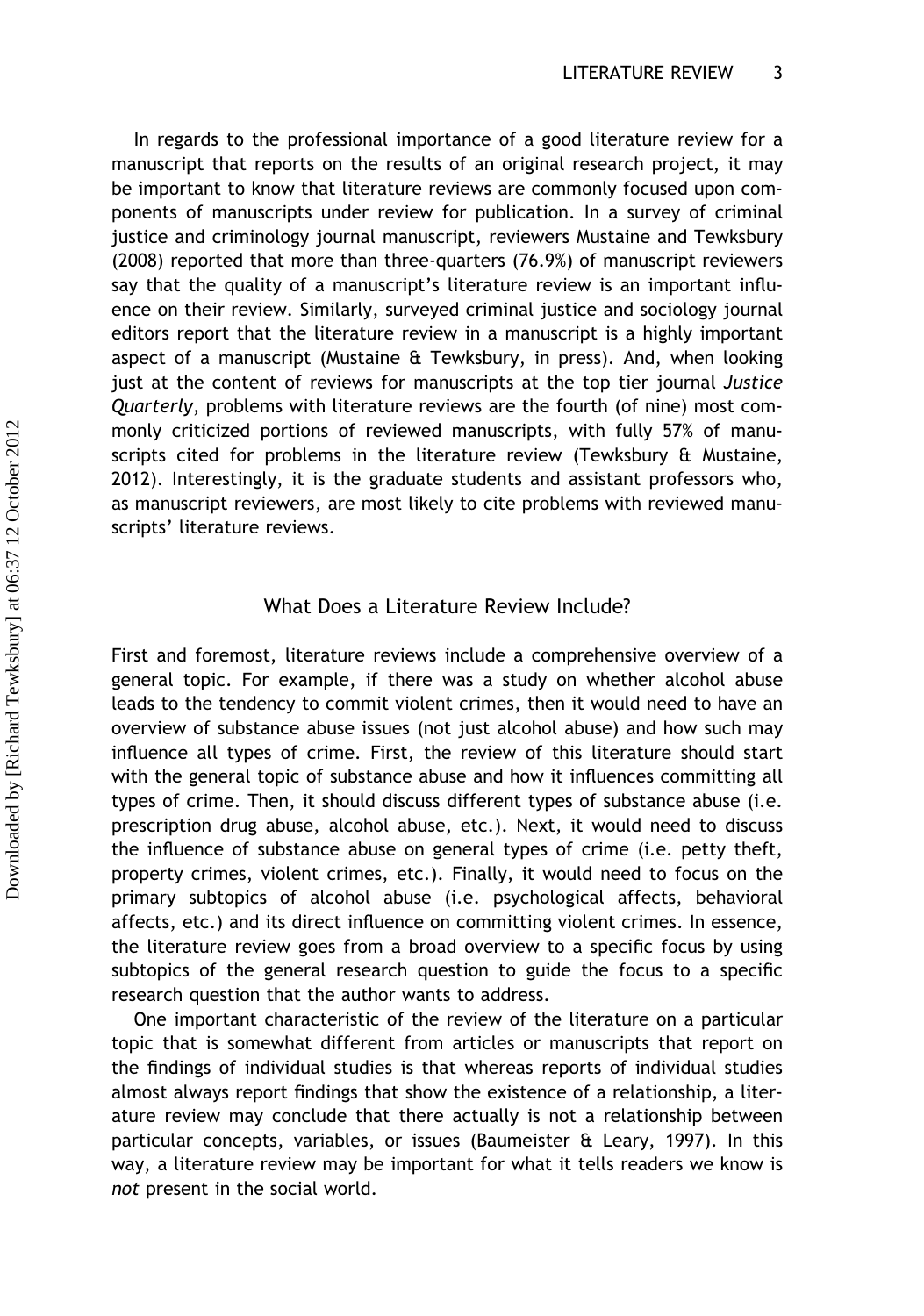In regards to the professional importance of a good literature review for a manuscript that reports on the results of an original research project, it may be important to know that literature reviews are commonly focused upon components of manuscripts under review for publication. In a survey of criminal justice and criminology journal manuscript, reviewers Mustaine and Tewksbury (2008) reported that more than three-quarters (76.9%) of manuscript reviewers say that the quality of a manuscript's literature review is an important influence on their review. Similarly, surveyed criminal justice and sociology journal editors report that the literature review in a manuscript is a highly important aspect of a manuscript (Mustaine & Tewksbury, in press). And, when looking just at the content of reviews for manuscripts at the top tier journal Justice Quarterly, problems with literature reviews are the fourth (of nine) most commonly criticized portions of reviewed manuscripts, with fully 57% of manuscripts cited for problems in the literature review (Tewksbury & Mustaine, 2012). Interestingly, it is the graduate students and assistant professors who, as manuscript reviewers, are most likely to cite problems with reviewed manuscripts' literature reviews.

#### What Does a Literature Review Include?

First and foremost, literature reviews include a comprehensive overview of a general topic. For example, if there was a study on whether alcohol abuse leads to the tendency to commit violent crimes, then it would need to have an overview of substance abuse issues (not just alcohol abuse) and how such may influence all types of crime. First, the review of this literature should start with the general topic of substance abuse and how it influences committing all types of crime. Then, it should discuss different types of substance abuse (i.e. prescription drug abuse, alcohol abuse, etc.). Next, it would need to discuss the influence of substance abuse on general types of crime (i.e. petty theft, property crimes, violent crimes, etc.). Finally, it would need to focus on the primary subtopics of alcohol abuse (i.e. psychological affects, behavioral affects, etc.) and its direct influence on committing violent crimes. In essence, the literature review goes from a broad overview to a specific focus by using subtopics of the general research question to guide the focus to a specific research question that the author wants to address.

One important characteristic of the review of the literature on a particular topic that is somewhat different from articles or manuscripts that report on the findings of individual studies is that whereas reports of individual studies almost always report findings that show the existence of a relationship, a literature review may conclude that there actually is not a relationship between particular concepts, variables, or issues (Baumeister & Leary, 1997). In this way, a literature review may be important for what it tells readers we know is not present in the social world.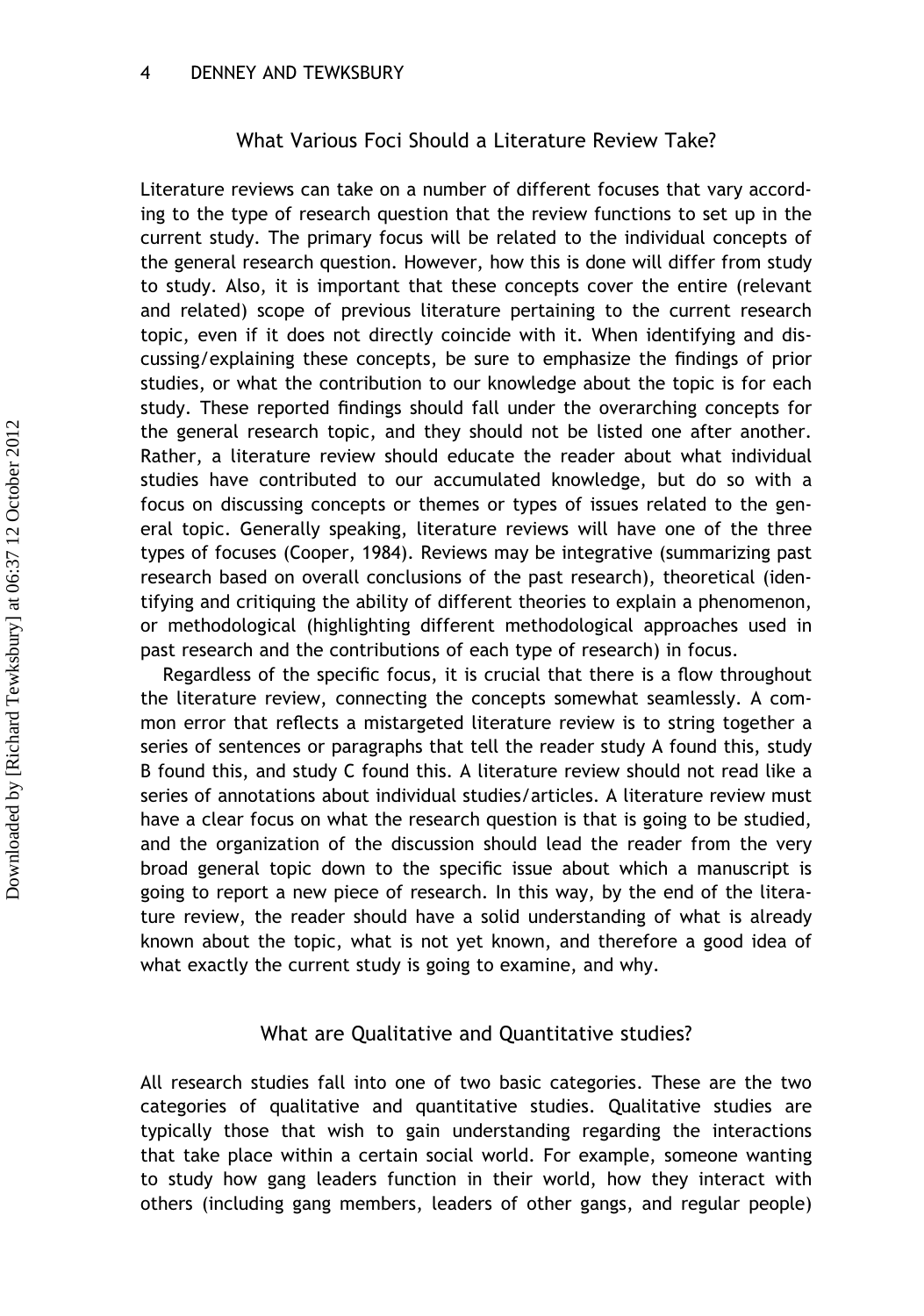#### 4 DENNEY AND TEWKSBURY

#### What Various Foci Should a Literature Review Take?

Literature reviews can take on a number of different focuses that vary according to the type of research question that the review functions to set up in the current study. The primary focus will be related to the individual concepts of the general research question. However, how this is done will differ from study to study. Also, it is important that these concepts cover the entire (relevant and related) scope of previous literature pertaining to the current research topic, even if it does not directly coincide with it. When identifying and discussing/explaining these concepts, be sure to emphasize the findings of prior studies, or what the contribution to our knowledge about the topic is for each study. These reported findings should fall under the overarching concepts for the general research topic, and they should not be listed one after another. Rather, a literature review should educate the reader about what individual studies have contributed to our accumulated knowledge, but do so with a focus on discussing concepts or themes or types of issues related to the general topic. Generally speaking, literature reviews will have one of the three types of focuses (Cooper, 1984). Reviews may be integrative (summarizing past research based on overall conclusions of the past research), theoretical (identifying and critiquing the ability of different theories to explain a phenomenon, or methodological (highlighting different methodological approaches used in past research and the contributions of each type of research) in focus.

Regardless of the specific focus, it is crucial that there is a flow throughout the literature review, connecting the concepts somewhat seamlessly. A common error that reflects a mistargeted literature review is to string together a series of sentences or paragraphs that tell the reader study A found this, study B found this, and study C found this. A literature review should not read like a series of annotations about individual studies/articles. A literature review must have a clear focus on what the research question is that is going to be studied, and the organization of the discussion should lead the reader from the very broad general topic down to the specific issue about which a manuscript is going to report a new piece of research. In this way, by the end of the literature review, the reader should have a solid understanding of what is already known about the topic, what is not yet known, and therefore a good idea of what exactly the current study is going to examine, and why.

#### What are Qualitative and Quantitative studies?

All research studies fall into one of two basic categories. These are the two categories of qualitative and quantitative studies. Qualitative studies are typically those that wish to gain understanding regarding the interactions that take place within a certain social world. For example, someone wanting to study how gang leaders function in their world, how they interact with others (including gang members, leaders of other gangs, and regular people)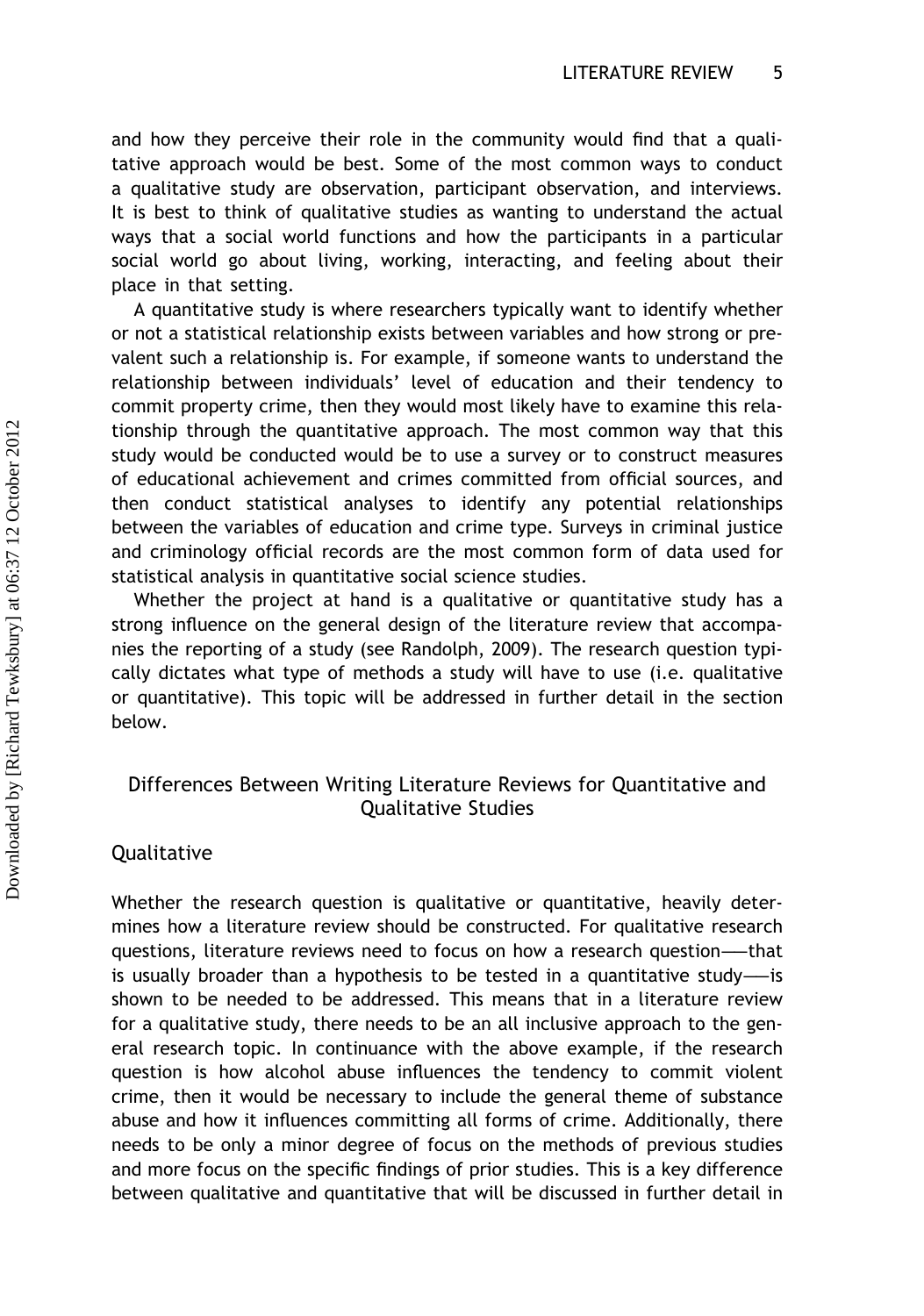and how they perceive their role in the community would find that a qualitative approach would be best. Some of the most common ways to conduct a qualitative study are observation, participant observation, and interviews. It is best to think of qualitative studies as wanting to understand the actual ways that a social world functions and how the participants in a particular social world go about living, working, interacting, and feeling about their place in that setting.

A quantitative study is where researchers typically want to identify whether or not a statistical relationship exists between variables and how strong or prevalent such a relationship is. For example, if someone wants to understand the relationship between individuals' level of education and their tendency to commit property crime, then they would most likely have to examine this relationship through the quantitative approach. The most common way that this study would be conducted would be to use a survey or to construct measures of educational achievement and crimes committed from official sources, and then conduct statistical analyses to identify any potential relationships between the variables of education and crime type. Surveys in criminal justice and criminology official records are the most common form of data used for statistical analysis in quantitative social science studies.

Whether the project at hand is a qualitative or quantitative study has a strong influence on the general design of the literature review that accompanies the reporting of a study (see Randolph, 2009). The research question typically dictates what type of methods a study will have to use (i.e. qualitative or quantitative). This topic will be addressed in further detail in the section below.

### Differences Between Writing Literature Reviews for Quantitative and Qualitative Studies

#### **Qualitative**

Whether the research question is qualitative or quantitative, heavily determines how a literature review should be constructed. For qualitative research questions, literature reviews need to focus on how a research question——that is usually broader than a hypothesis to be tested in a quantitative study——is shown to be needed to be addressed. This means that in a literature review for a qualitative study, there needs to be an all inclusive approach to the general research topic. In continuance with the above example, if the research question is how alcohol abuse influences the tendency to commit violent crime, then it would be necessary to include the general theme of substance abuse and how it influences committing all forms of crime. Additionally, there needs to be only a minor degree of focus on the methods of previous studies and more focus on the specific findings of prior studies. This is a key difference between qualitative and quantitative that will be discussed in further detail in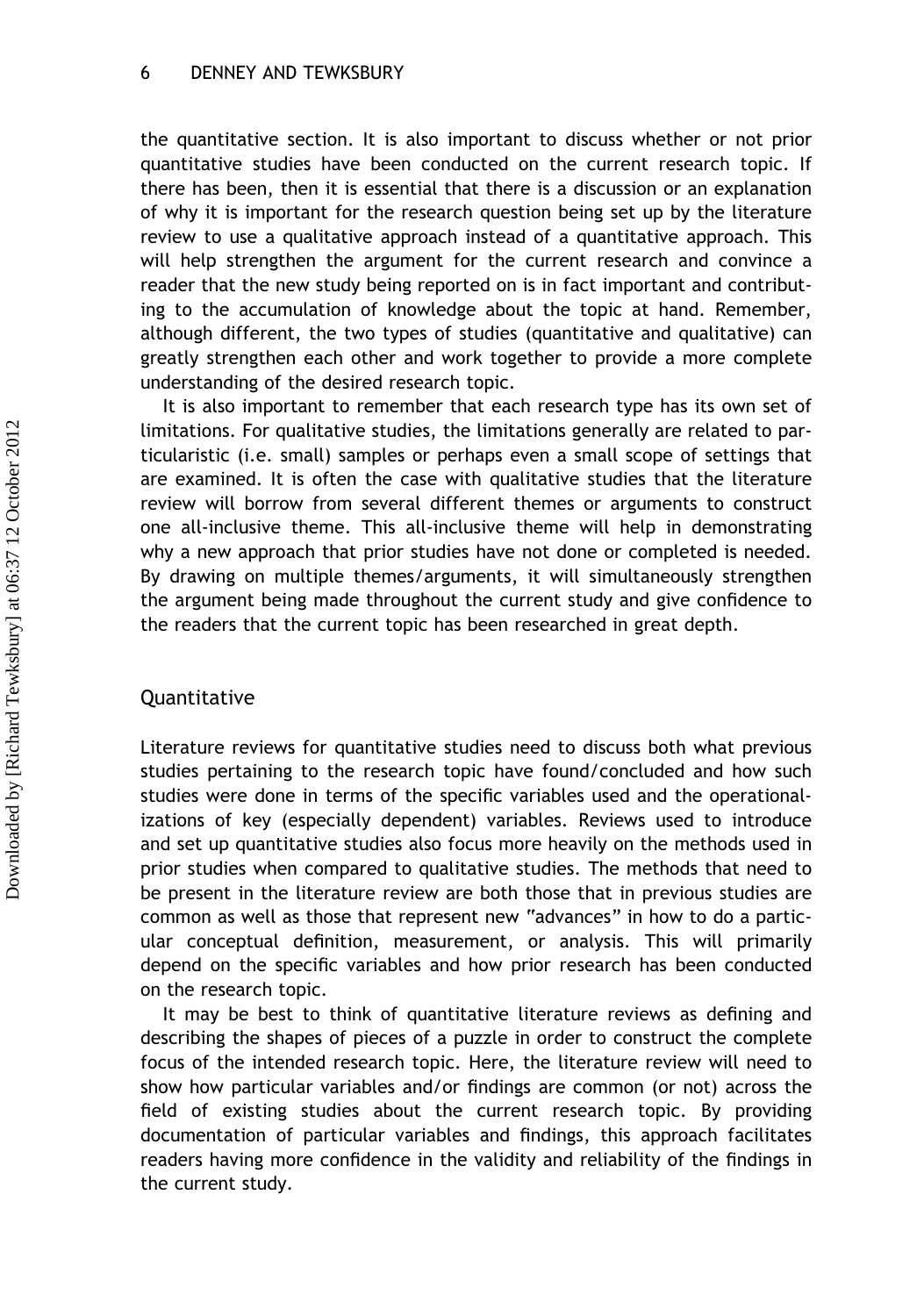#### 6 DENNEY AND TEWKSBURY

the quantitative section. It is also important to discuss whether or not prior quantitative studies have been conducted on the current research topic. If there has been, then it is essential that there is a discussion or an explanation of why it is important for the research question being set up by the literature review to use a qualitative approach instead of a quantitative approach. This will help strengthen the argument for the current research and convince a reader that the new study being reported on is in fact important and contributing to the accumulation of knowledge about the topic at hand. Remember, although different, the two types of studies (quantitative and qualitative) can greatly strengthen each other and work together to provide a more complete understanding of the desired research topic.

It is also important to remember that each research type has its own set of limitations. For qualitative studies, the limitations generally are related to particularistic (i.e. small) samples or perhaps even a small scope of settings that are examined. It is often the case with qualitative studies that the literature review will borrow from several different themes or arguments to construct one all-inclusive theme. This all-inclusive theme will help in demonstrating why a new approach that prior studies have not done or completed is needed. By drawing on multiple themes/arguments, it will simultaneously strengthen the argument being made throughout the current study and give confidence to the readers that the current topic has been researched in great depth.

#### Quantitative

Literature reviews for quantitative studies need to discuss both what previous studies pertaining to the research topic have found/concluded and how such studies were done in terms of the specific variables used and the operationalizations of key (especially dependent) variables. Reviews used to introduce and set up quantitative studies also focus more heavily on the methods used in prior studies when compared to qualitative studies. The methods that need to be present in the literature review are both those that in previous studies are common as well as those that represent new "advances" in how to do a particular conceptual definition, measurement, or analysis. This will primarily depend on the specific variables and how prior research has been conducted on the research topic.

It may be best to think of quantitative literature reviews as defining and describing the shapes of pieces of a puzzle in order to construct the complete focus of the intended research topic. Here, the literature review will need to show how particular variables and/or findings are common (or not) across the field of existing studies about the current research topic. By providing documentation of particular variables and findings, this approach facilitates readers having more confidence in the validity and reliability of the findings in the current study.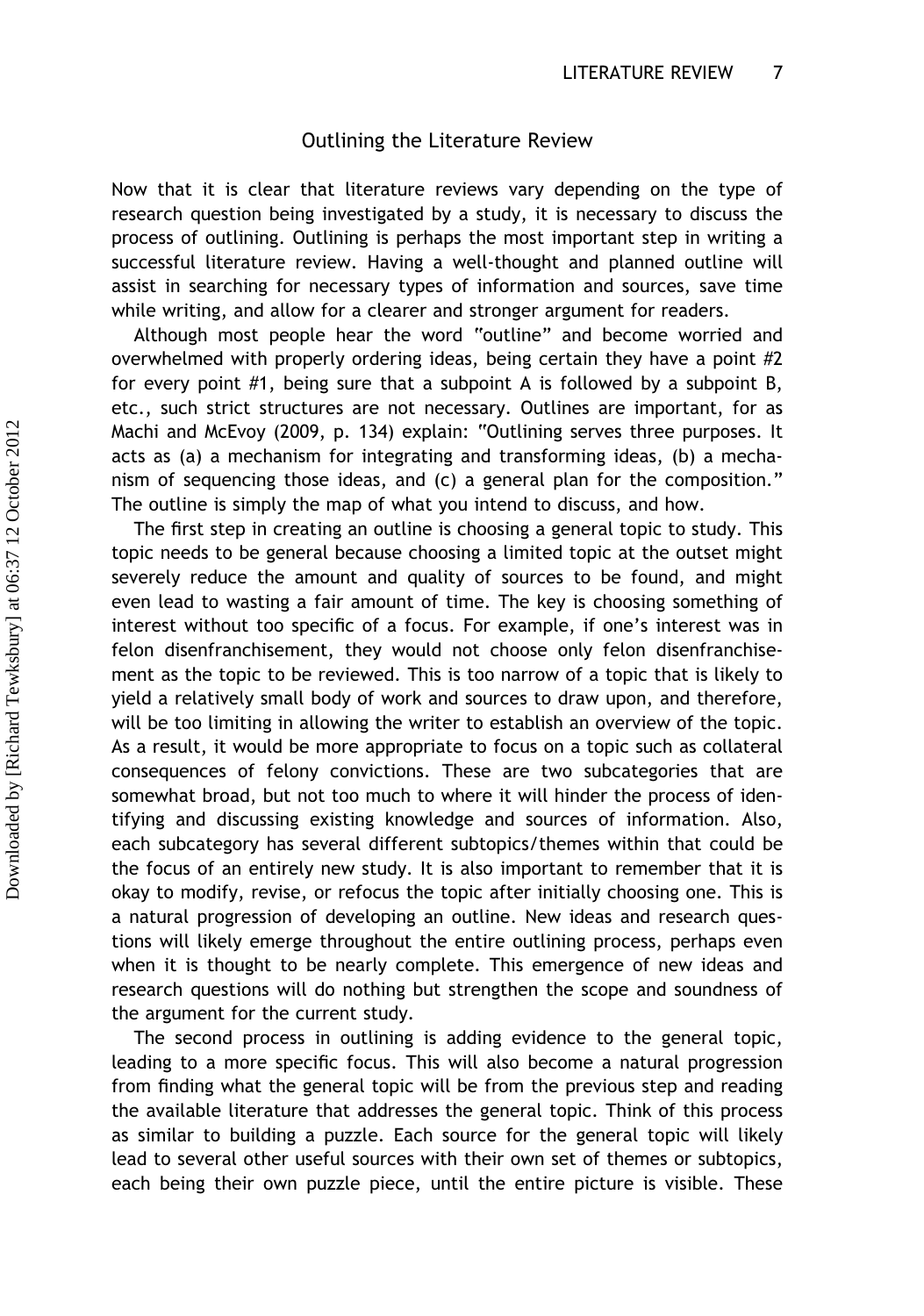#### Outlining the Literature Review

Now that it is clear that literature reviews vary depending on the type of research question being investigated by a study, it is necessary to discuss the process of outlining. Outlining is perhaps the most important step in writing a successful literature review. Having a well-thought and planned outline will assist in searching for necessary types of information and sources, save time while writing, and allow for a clearer and stronger argument for readers.

Although most people hear the word "outline" and become worried and overwhelmed with properly ordering ideas, being certain they have a point #2 for every point #1, being sure that a subpoint A is followed by a subpoint B, etc., such strict structures are not necessary. Outlines are important, for as Machi and McEvoy (2009, p. 134) explain: "Outlining serves three purposes. It acts as (a) a mechanism for integrating and transforming ideas, (b) a mechanism of sequencing those ideas, and (c) a general plan for the composition." The outline is simply the map of what you intend to discuss, and how.

The first step in creating an outline is choosing a general topic to study. This topic needs to be general because choosing a limited topic at the outset might severely reduce the amount and quality of sources to be found, and might even lead to wasting a fair amount of time. The key is choosing something of interest without too specific of a focus. For example, if one's interest was in felon disenfranchisement, they would not choose only felon disenfranchisement as the topic to be reviewed. This is too narrow of a topic that is likely to yield a relatively small body of work and sources to draw upon, and therefore, will be too limiting in allowing the writer to establish an overview of the topic. As a result, it would be more appropriate to focus on a topic such as collateral consequences of felony convictions. These are two subcategories that are somewhat broad, but not too much to where it will hinder the process of identifying and discussing existing knowledge and sources of information. Also, each subcategory has several different subtopics/themes within that could be the focus of an entirely new study. It is also important to remember that it is okay to modify, revise, or refocus the topic after initially choosing one. This is a natural progression of developing an outline. New ideas and research questions will likely emerge throughout the entire outlining process, perhaps even when it is thought to be nearly complete. This emergence of new ideas and research questions will do nothing but strengthen the scope and soundness of the argument for the current study.

The second process in outlining is adding evidence to the general topic, leading to a more specific focus. This will also become a natural progression from finding what the general topic will be from the previous step and reading the available literature that addresses the general topic. Think of this process as similar to building a puzzle. Each source for the general topic will likely lead to several other useful sources with their own set of themes or subtopics, each being their own puzzle piece, until the entire picture is visible. These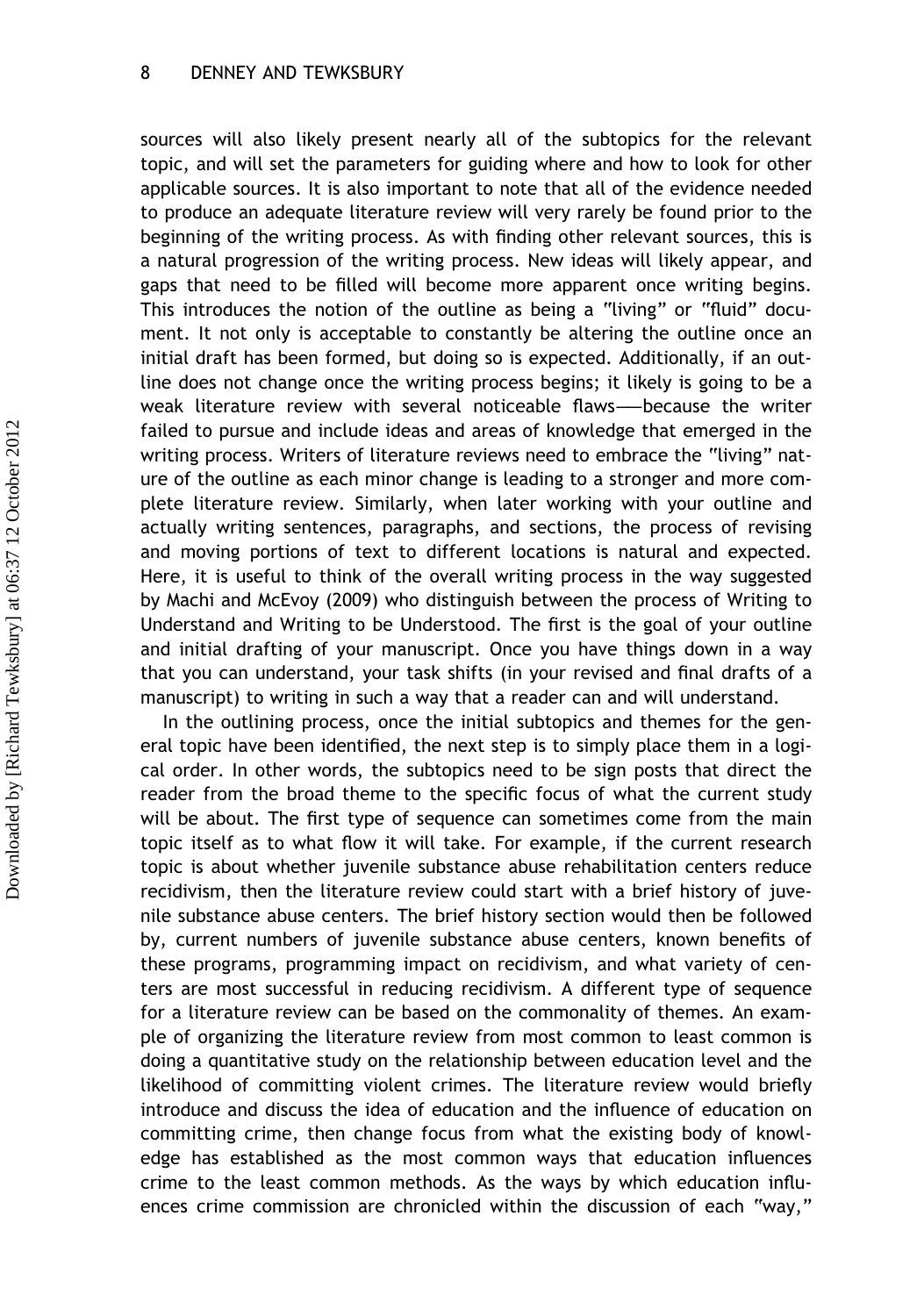sources will also likely present nearly all of the subtopics for the relevant topic, and will set the parameters for guiding where and how to look for other applicable sources. It is also important to note that all of the evidence needed to produce an adequate literature review will very rarely be found prior to the beginning of the writing process. As with finding other relevant sources, this is a natural progression of the writing process. New ideas will likely appear, and gaps that need to be filled will become more apparent once writing begins. This introduces the notion of the outline as being a "living" or "fluid" document. It not only is acceptable to constantly be altering the outline once an initial draft has been formed, but doing so is expected. Additionally, if an outline does not change once the writing process begins; it likely is going to be a weak literature review with several noticeable flaws——because the writer failed to pursue and include ideas and areas of knowledge that emerged in the writing process. Writers of literature reviews need to embrace the "living" nature of the outline as each minor change is leading to a stronger and more complete literature review. Similarly, when later working with your outline and actually writing sentences, paragraphs, and sections, the process of revising and moving portions of text to different locations is natural and expected. Here, it is useful to think of the overall writing process in the way suggested by Machi and McEvoy (2009) who distinguish between the process of Writing to Understand and Writing to be Understood. The first is the goal of your outline and initial drafting of your manuscript. Once you have things down in a way that you can understand, your task shifts (in your revised and final drafts of a manuscript) to writing in such a way that a reader can and will understand.

In the outlining process, once the initial subtopics and themes for the general topic have been identified, the next step is to simply place them in a logical order. In other words, the subtopics need to be sign posts that direct the reader from the broad theme to the specific focus of what the current study will be about. The first type of sequence can sometimes come from the main topic itself as to what flow it will take. For example, if the current research topic is about whether juvenile substance abuse rehabilitation centers reduce recidivism, then the literature review could start with a brief history of juvenile substance abuse centers. The brief history section would then be followed by, current numbers of juvenile substance abuse centers, known benefits of these programs, programming impact on recidivism, and what variety of centers are most successful in reducing recidivism. A different type of sequence for a literature review can be based on the commonality of themes. An example of organizing the literature review from most common to least common is doing a quantitative study on the relationship between education level and the likelihood of committing violent crimes. The literature review would briefly introduce and discuss the idea of education and the influence of education on committing crime, then change focus from what the existing body of knowledge has established as the most common ways that education influences crime to the least common methods. As the ways by which education influences crime commission are chronicled within the discussion of each "way,"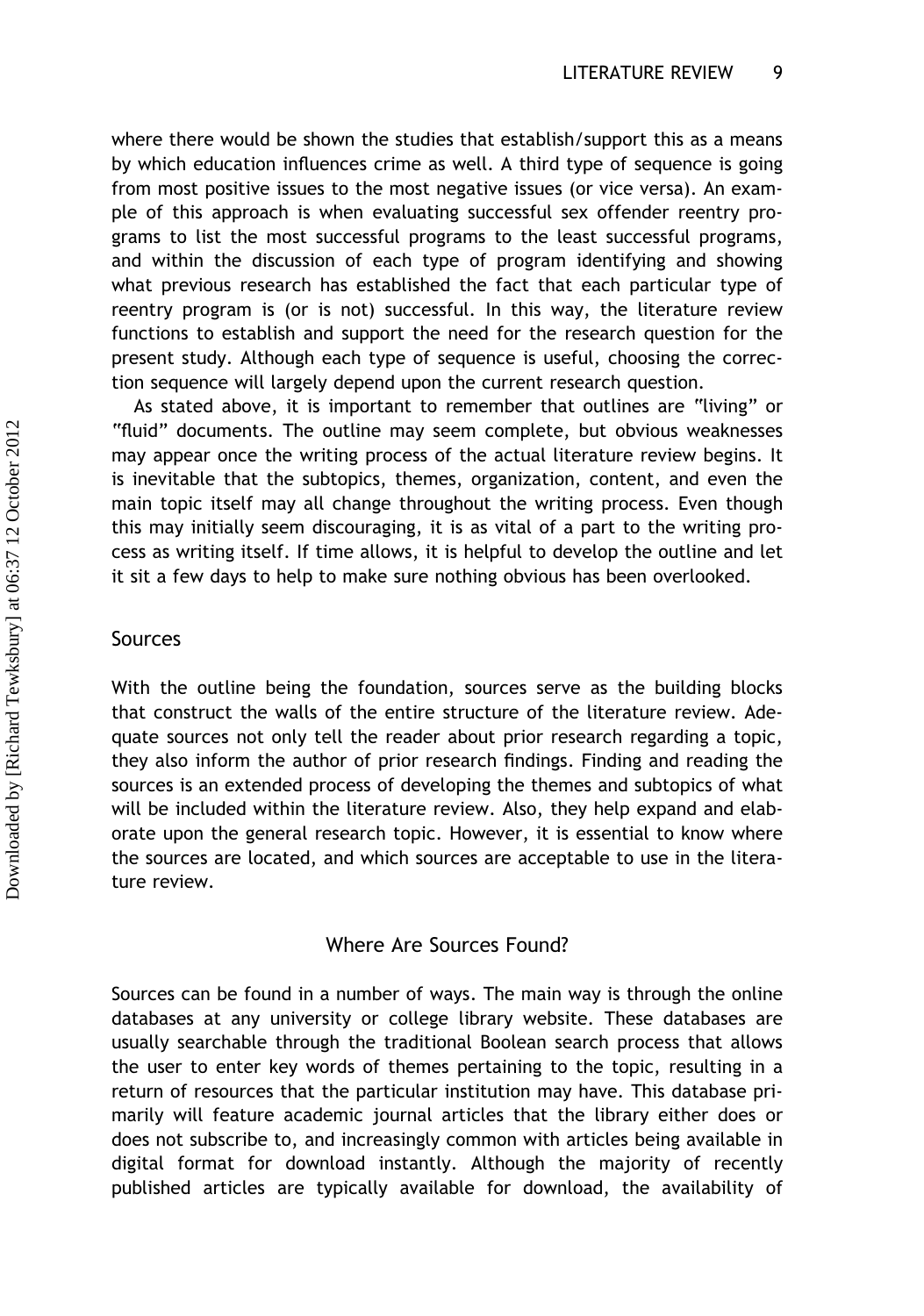where there would be shown the studies that establish/support this as a means by which education influences crime as well. A third type of sequence is going from most positive issues to the most negative issues (or vice versa). An example of this approach is when evaluating successful sex offender reentry programs to list the most successful programs to the least successful programs, and within the discussion of each type of program identifying and showing what previous research has established the fact that each particular type of reentry program is (or is not) successful. In this way, the literature review functions to establish and support the need for the research question for the present study. Although each type of sequence is useful, choosing the correction sequence will largely depend upon the current research question.

As stated above, it is important to remember that outlines are "living" or "fluid" documents. The outline may seem complete, but obvious weaknesses may appear once the writing process of the actual literature review begins. It is inevitable that the subtopics, themes, organization, content, and even the main topic itself may all change throughout the writing process. Even though this may initially seem discouraging, it is as vital of a part to the writing process as writing itself. If time allows, it is helpful to develop the outline and let it sit a few days to help to make sure nothing obvious has been overlooked.

#### Sources

With the outline being the foundation, sources serve as the building blocks that construct the walls of the entire structure of the literature review. Adequate sources not only tell the reader about prior research regarding a topic, they also inform the author of prior research findings. Finding and reading the sources is an extended process of developing the themes and subtopics of what will be included within the literature review. Also, they help expand and elaborate upon the general research topic. However, it is essential to know where the sources are located, and which sources are acceptable to use in the literature review.

#### Where Are Sources Found?

Sources can be found in a number of ways. The main way is through the online databases at any university or college library website. These databases are usually searchable through the traditional Boolean search process that allows the user to enter key words of themes pertaining to the topic, resulting in a return of resources that the particular institution may have. This database primarily will feature academic journal articles that the library either does or does not subscribe to, and increasingly common with articles being available in digital format for download instantly. Although the majority of recently published articles are typically available for download, the availability of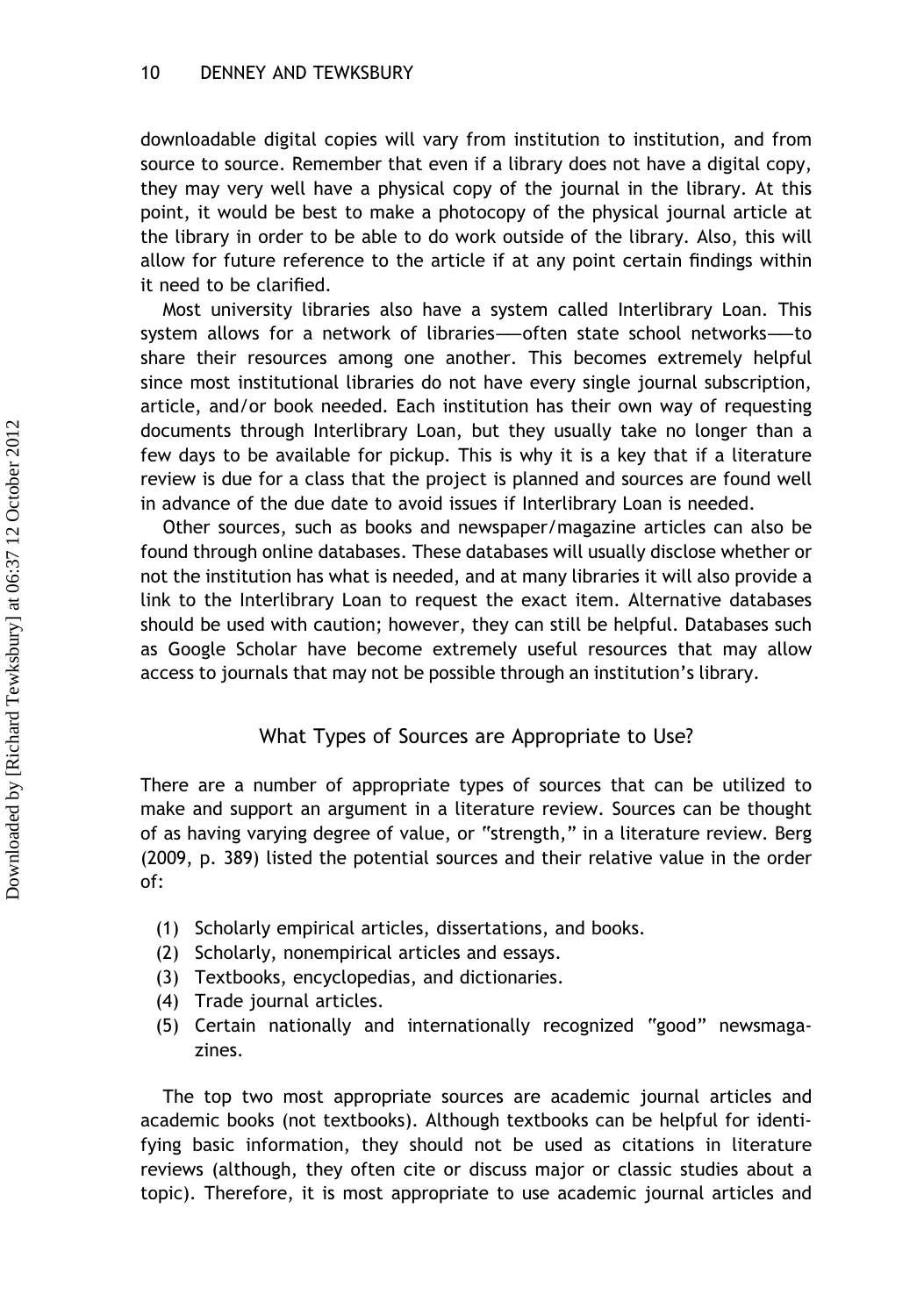downloadable digital copies will vary from institution to institution, and from source to source. Remember that even if a library does not have a digital copy, they may very well have a physical copy of the journal in the library. At this point, it would be best to make a photocopy of the physical journal article at the library in order to be able to do work outside of the library. Also, this will allow for future reference to the article if at any point certain findings within it need to be clarified.

Most university libraries also have a system called Interlibrary Loan. This system allows for a network of libraries——often state school networks——to share their resources among one another. This becomes extremely helpful since most institutional libraries do not have every single journal subscription, article, and/or book needed. Each institution has their own way of requesting documents through Interlibrary Loan, but they usually take no longer than a few days to be available for pickup. This is why it is a key that if a literature review is due for a class that the project is planned and sources are found well in advance of the due date to avoid issues if Interlibrary Loan is needed.

Other sources, such as books and newspaper/magazine articles can also be found through online databases. These databases will usually disclose whether or not the institution has what is needed, and at many libraries it will also provide a link to the Interlibrary Loan to request the exact item. Alternative databases should be used with caution; however, they can still be helpful. Databases such as Google Scholar have become extremely useful resources that may allow access to journals that may not be possible through an institution's library.

#### What Types of Sources are Appropriate to Use?

There are a number of appropriate types of sources that can be utilized to make and support an argument in a literature review. Sources can be thought of as having varying degree of value, or "strength," in a literature review. Berg (2009, p. 389) listed the potential sources and their relative value in the order of:

- (1) Scholarly empirical articles, dissertations, and books.
- (2) Scholarly, nonempirical articles and essays.
- (3) Textbooks, encyclopedias, and dictionaries.
- (4) Trade journal articles.
- (5) Certain nationally and internationally recognized "good" newsmagazines.

The top two most appropriate sources are academic journal articles and academic books (not textbooks). Although textbooks can be helpful for identifying basic information, they should not be used as citations in literature reviews (although, they often cite or discuss major or classic studies about a topic). Therefore, it is most appropriate to use academic journal articles and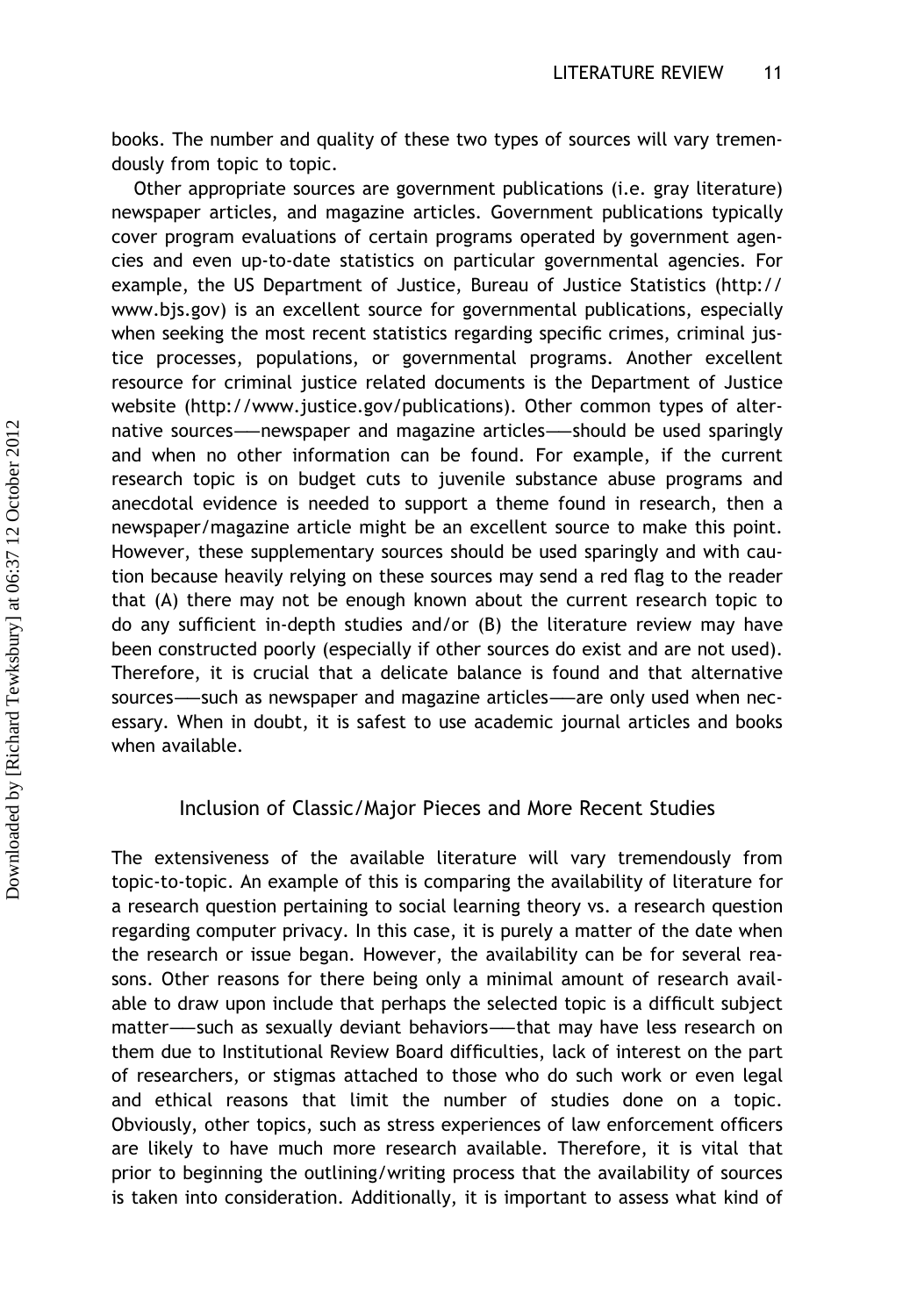books. The number and quality of these two types of sources will vary tremendously from topic to topic.

Other appropriate sources are government publications (i.e. gray literature) newspaper articles, and magazine articles. Government publications typically cover program evaluations of certain programs operated by government agencies and even up-to-date statistics on particular governmental agencies. For example, the US Department of Justice, Bureau of Justice Statistics [\(http://](http://www.bjs.gov) [www.bjs.gov](http://www.bjs.gov)) is an excellent source for governmental publications, especially when seeking the most recent statistics regarding specific crimes, criminal justice processes, populations, or governmental programs. Another excellent resource for criminal justice related documents is the Department of Justice website ([http://www.justice.gov/publications\)](http://www.justice.gov/publications). Other common types of alternative sources——newspaper and magazine articles——should be used sparingly and when no other information can be found. For example, if the current research topic is on budget cuts to juvenile substance abuse programs and anecdotal evidence is needed to support a theme found in research, then a newspaper/magazine article might be an excellent source to make this point. However, these supplementary sources should be used sparingly and with caution because heavily relying on these sources may send a red flag to the reader that (A) there may not be enough known about the current research topic to do any sufficient in-depth studies and/or (B) the literature review may have been constructed poorly (especially if other sources do exist and are not used). Therefore, it is crucial that a delicate balance is found and that alternative sources——such as newspaper and magazine articles——are only used when necessary. When in doubt, it is safest to use academic journal articles and books when available.

#### Inclusion of Classic/Major Pieces and More Recent Studies

The extensiveness of the available literature will vary tremendously from topic-to-topic. An example of this is comparing the availability of literature for a research question pertaining to social learning theory vs. a research question regarding computer privacy. In this case, it is purely a matter of the date when the research or issue began. However, the availability can be for several reasons. Other reasons for there being only a minimal amount of research available to draw upon include that perhaps the selected topic is a difficult subject matter——such as sexually deviant behaviors——that may have less research on them due to Institutional Review Board difficulties, lack of interest on the part of researchers, or stigmas attached to those who do such work or even legal and ethical reasons that limit the number of studies done on a topic. Obviously, other topics, such as stress experiences of law enforcement officers are likely to have much more research available. Therefore, it is vital that prior to beginning the outlining/writing process that the availability of sources is taken into consideration. Additionally, it is important to assess what kind of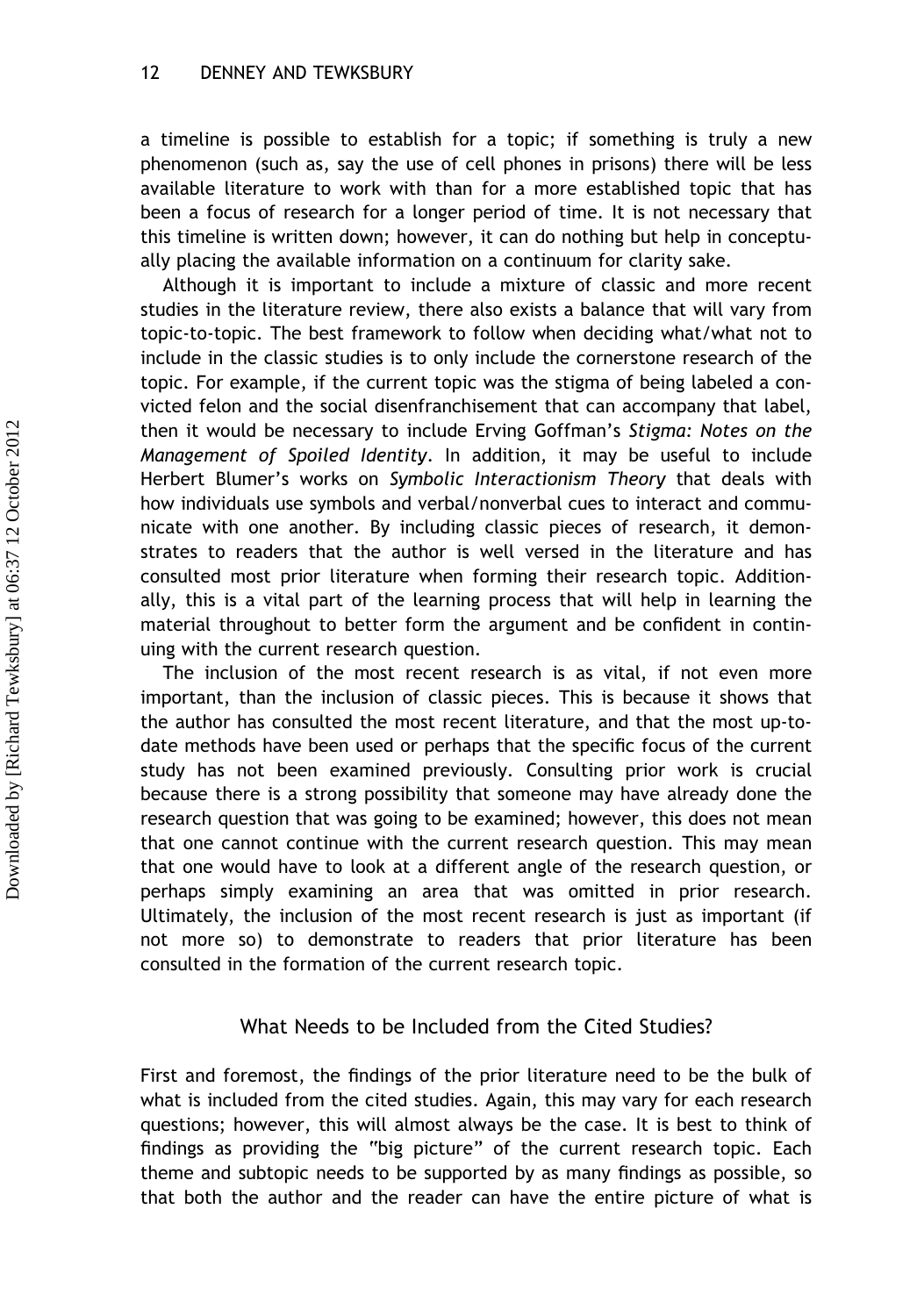a timeline is possible to establish for a topic; if something is truly a new phenomenon (such as, say the use of cell phones in prisons) there will be less available literature to work with than for a more established topic that has been a focus of research for a longer period of time. It is not necessary that this timeline is written down; however, it can do nothing but help in conceptually placing the available information on a continuum for clarity sake.

Although it is important to include a mixture of classic and more recent studies in the literature review, there also exists a balance that will vary from topic-to-topic. The best framework to follow when deciding what/what not to include in the classic studies is to only include the cornerstone research of the topic. For example, if the current topic was the stigma of being labeled a convicted felon and the social disenfranchisement that can accompany that label, then it would be necessary to include Erving Goffman's Stigma: Notes on the Management of Spoiled Identity. In addition, it may be useful to include Herbert Blumer's works on Symbolic Interactionism Theory that deals with how individuals use symbols and verbal/nonverbal cues to interact and communicate with one another. By including classic pieces of research, it demonstrates to readers that the author is well versed in the literature and has consulted most prior literature when forming their research topic. Additionally, this is a vital part of the learning process that will help in learning the material throughout to better form the argument and be confident in continuing with the current research question.

The inclusion of the most recent research is as vital, if not even more important, than the inclusion of classic pieces. This is because it shows that the author has consulted the most recent literature, and that the most up-todate methods have been used or perhaps that the specific focus of the current study has not been examined previously. Consulting prior work is crucial because there is a strong possibility that someone may have already done the research question that was going to be examined; however, this does not mean that one cannot continue with the current research question. This may mean that one would have to look at a different angle of the research question, or perhaps simply examining an area that was omitted in prior research. Ultimately, the inclusion of the most recent research is just as important (if not more so) to demonstrate to readers that prior literature has been consulted in the formation of the current research topic.

#### What Needs to be Included from the Cited Studies?

First and foremost, the findings of the prior literature need to be the bulk of what is included from the cited studies. Again, this may vary for each research questions; however, this will almost always be the case. It is best to think of findings as providing the "big picture" of the current research topic. Each theme and subtopic needs to be supported by as many findings as possible, so that both the author and the reader can have the entire picture of what is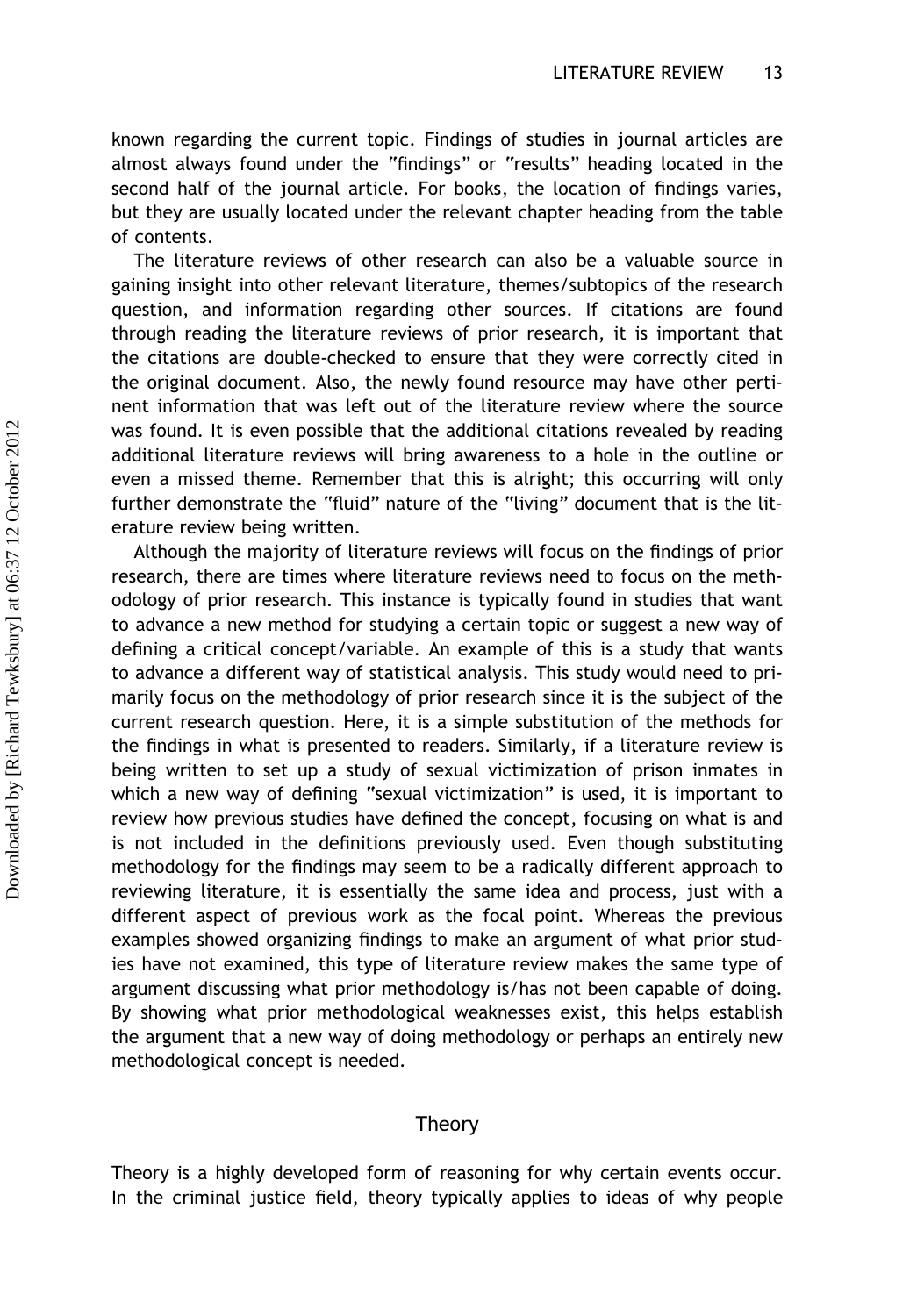known regarding the current topic. Findings of studies in journal articles are almost always found under the "findings" or "results" heading located in the second half of the journal article. For books, the location of findings varies, but they are usually located under the relevant chapter heading from the table of contents.

The literature reviews of other research can also be a valuable source in gaining insight into other relevant literature, themes/subtopics of the research question, and information regarding other sources. If citations are found through reading the literature reviews of prior research, it is important that the citations are double-checked to ensure that they were correctly cited in the original document. Also, the newly found resource may have other pertinent information that was left out of the literature review where the source was found. It is even possible that the additional citations revealed by reading additional literature reviews will bring awareness to a hole in the outline or even a missed theme. Remember that this is alright; this occurring will only further demonstrate the "fluid" nature of the "living" document that is the literature review being written.

Although the majority of literature reviews will focus on the findings of prior research, there are times where literature reviews need to focus on the methodology of prior research. This instance is typically found in studies that want to advance a new method for studying a certain topic or suggest a new way of defining a critical concept/variable. An example of this is a study that wants to advance a different way of statistical analysis. This study would need to primarily focus on the methodology of prior research since it is the subject of the current research question. Here, it is a simple substitution of the methods for the findings in what is presented to readers. Similarly, if a literature review is being written to set up a study of sexual victimization of prison inmates in which a new way of defining "sexual victimization" is used, it is important to review how previous studies have defined the concept, focusing on what is and is not included in the definitions previously used. Even though substituting methodology for the findings may seem to be a radically different approach to reviewing literature, it is essentially the same idea and process, just with a different aspect of previous work as the focal point. Whereas the previous examples showed organizing findings to make an argument of what prior studies have not examined, this type of literature review makes the same type of argument discussing what prior methodology is/has not been capable of doing. By showing what prior methodological weaknesses exist, this helps establish the argument that a new way of doing methodology or perhaps an entirely new methodological concept is needed.

#### Theory

Theory is a highly developed form of reasoning for why certain events occur. In the criminal justice field, theory typically applies to ideas of why people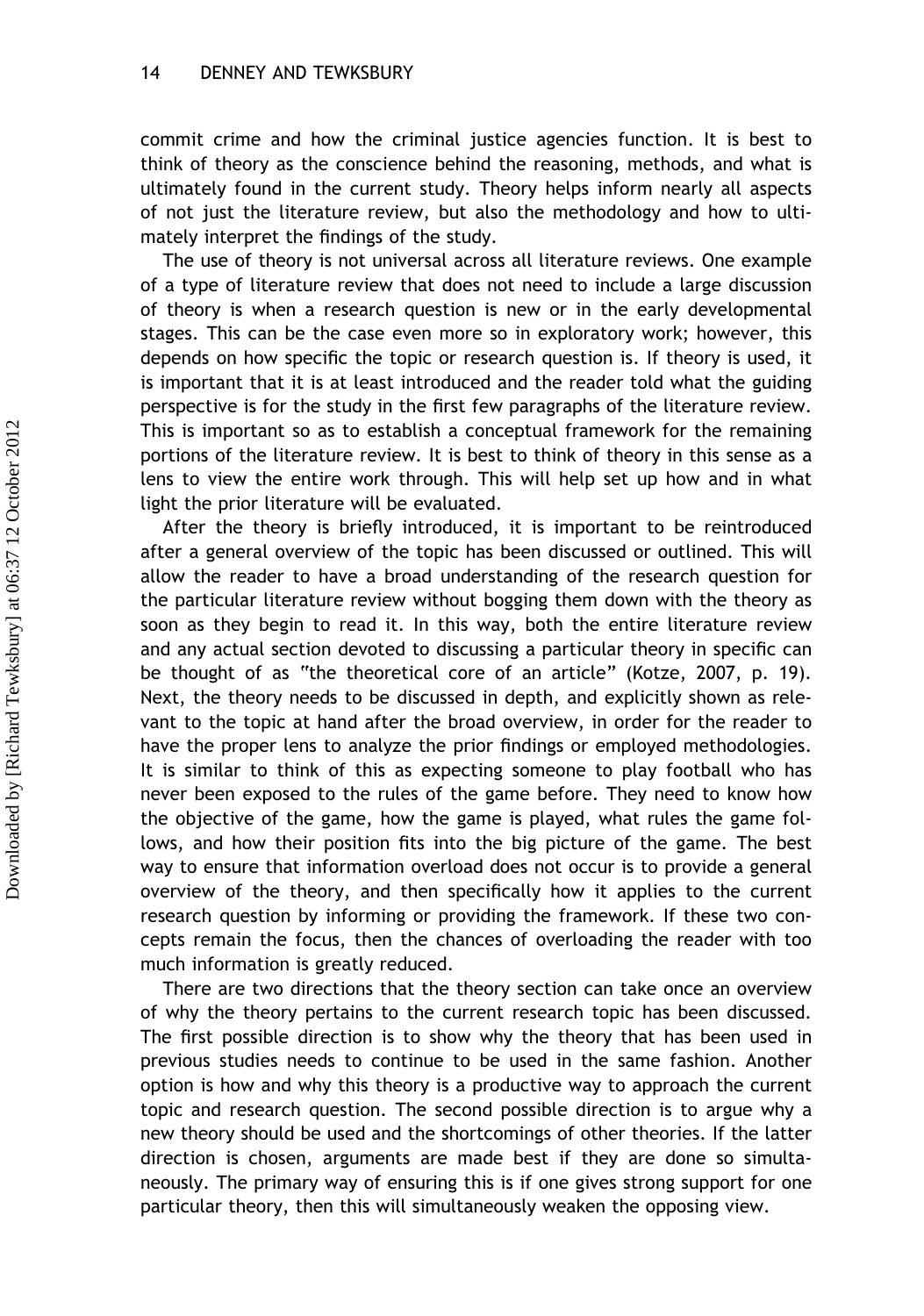commit crime and how the criminal justice agencies function. It is best to think of theory as the conscience behind the reasoning, methods, and what is ultimately found in the current study. Theory helps inform nearly all aspects of not just the literature review, but also the methodology and how to ultimately interpret the findings of the study.

The use of theory is not universal across all literature reviews. One example of a type of literature review that does not need to include a large discussion of theory is when a research question is new or in the early developmental stages. This can be the case even more so in exploratory work; however, this depends on how specific the topic or research question is. If theory is used, it is important that it is at least introduced and the reader told what the guiding perspective is for the study in the first few paragraphs of the literature review. This is important so as to establish a conceptual framework for the remaining portions of the literature review. It is best to think of theory in this sense as a lens to view the entire work through. This will help set up how and in what light the prior literature will be evaluated.

After the theory is briefly introduced, it is important to be reintroduced after a general overview of the topic has been discussed or outlined. This will allow the reader to have a broad understanding of the research question for the particular literature review without bogging them down with the theory as soon as they begin to read it. In this way, both the entire literature review and any actual section devoted to discussing a particular theory in specific can be thought of as "the theoretical core of an article" (Kotze, 2007, p. 19). Next, the theory needs to be discussed in depth, and explicitly shown as relevant to the topic at hand after the broad overview, in order for the reader to have the proper lens to analyze the prior findings or employed methodologies. It is similar to think of this as expecting someone to play football who has never been exposed to the rules of the game before. They need to know how the objective of the game, how the game is played, what rules the game follows, and how their position fits into the big picture of the game. The best way to ensure that information overload does not occur is to provide a general overview of the theory, and then specifically how it applies to the current research question by informing or providing the framework. If these two concepts remain the focus, then the chances of overloading the reader with too much information is greatly reduced.

There are two directions that the theory section can take once an overview of why the theory pertains to the current research topic has been discussed. The first possible direction is to show why the theory that has been used in previous studies needs to continue to be used in the same fashion. Another option is how and why this theory is a productive way to approach the current topic and research question. The second possible direction is to argue why a new theory should be used and the shortcomings of other theories. If the latter direction is chosen, arguments are made best if they are done so simultaneously. The primary way of ensuring this is if one gives strong support for one particular theory, then this will simultaneously weaken the opposing view.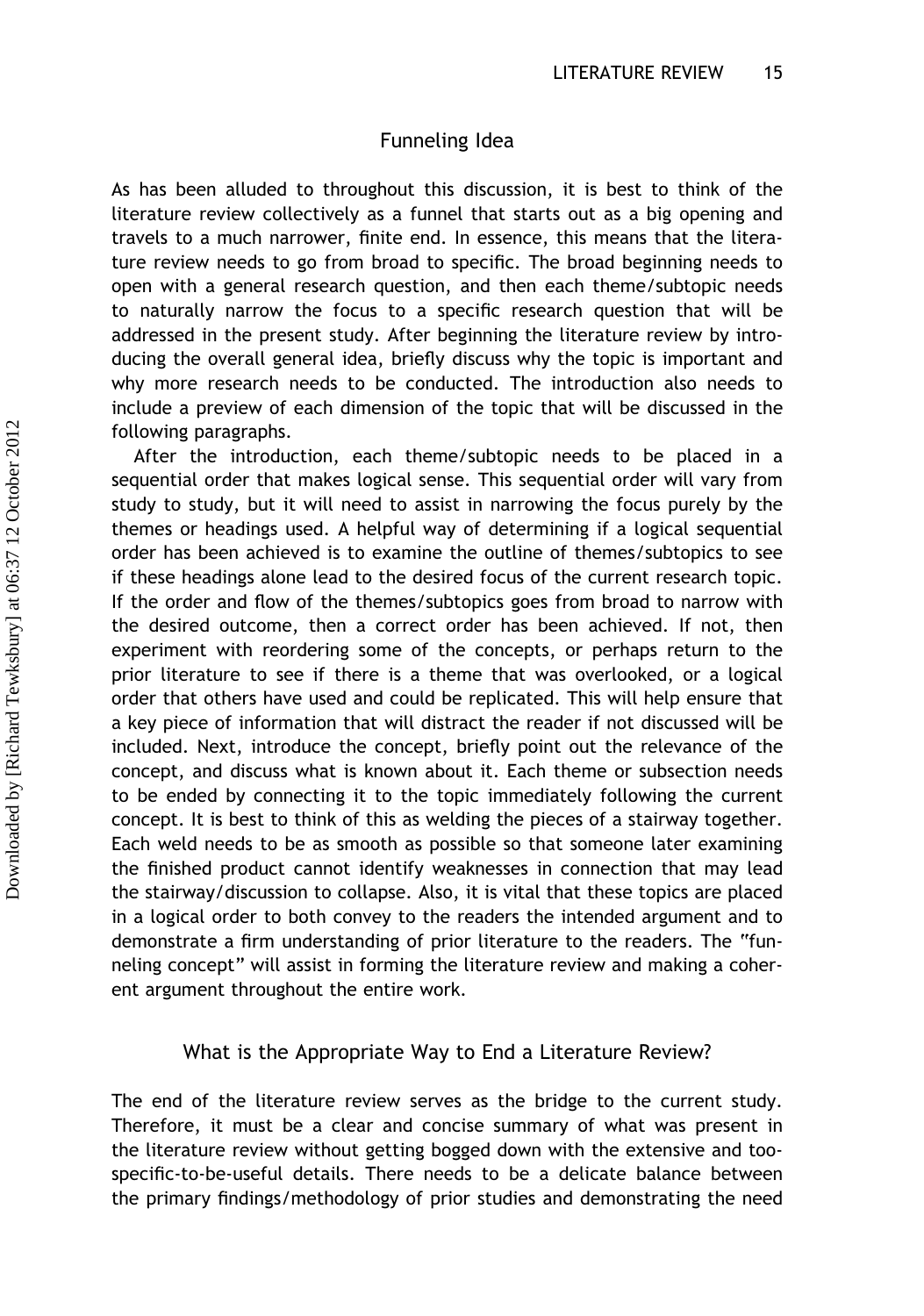#### Funneling Idea

As has been alluded to throughout this discussion, it is best to think of the literature review collectively as a funnel that starts out as a big opening and travels to a much narrower, finite end. In essence, this means that the literature review needs to go from broad to specific. The broad beginning needs to open with a general research question, and then each theme/subtopic needs to naturally narrow the focus to a specific research question that will be addressed in the present study. After beginning the literature review by introducing the overall general idea, briefly discuss why the topic is important and why more research needs to be conducted. The introduction also needs to include a preview of each dimension of the topic that will be discussed in the following paragraphs.

After the introduction, each theme/subtopic needs to be placed in a sequential order that makes logical sense. This sequential order will vary from study to study, but it will need to assist in narrowing the focus purely by the themes or headings used. A helpful way of determining if a logical sequential order has been achieved is to examine the outline of themes/subtopics to see if these headings alone lead to the desired focus of the current research topic. If the order and flow of the themes/subtopics goes from broad to narrow with the desired outcome, then a correct order has been achieved. If not, then experiment with reordering some of the concepts, or perhaps return to the prior literature to see if there is a theme that was overlooked, or a logical order that others have used and could be replicated. This will help ensure that a key piece of information that will distract the reader if not discussed will be included. Next, introduce the concept, briefly point out the relevance of the concept, and discuss what is known about it. Each theme or subsection needs to be ended by connecting it to the topic immediately following the current concept. It is best to think of this as welding the pieces of a stairway together. Each weld needs to be as smooth as possible so that someone later examining the finished product cannot identify weaknesses in connection that may lead the stairway/discussion to collapse. Also, it is vital that these topics are placed in a logical order to both convey to the readers the intended argument and to demonstrate a firm understanding of prior literature to the readers. The "funneling concept" will assist in forming the literature review and making a coherent argument throughout the entire work.

#### What is the Appropriate Way to End a Literature Review?

The end of the literature review serves as the bridge to the current study. Therefore, it must be a clear and concise summary of what was present in the literature review without getting bogged down with the extensive and toospecific-to-be-useful details. There needs to be a delicate balance between the primary findings/methodology of prior studies and demonstrating the need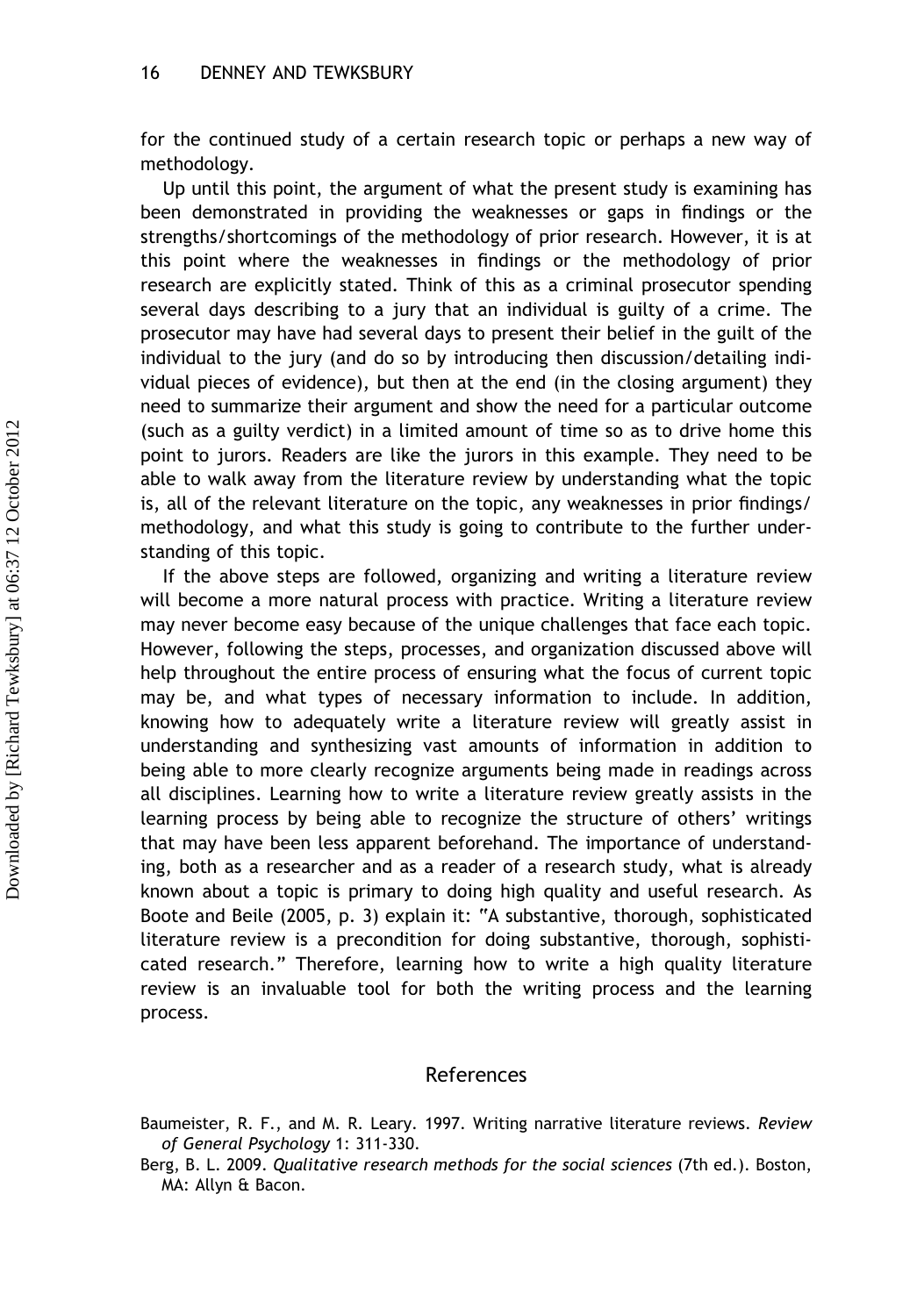for the continued study of a certain research topic or perhaps a new way of methodology.

Up until this point, the argument of what the present study is examining has been demonstrated in providing the weaknesses or gaps in findings or the strengths/shortcomings of the methodology of prior research. However, it is at this point where the weaknesses in findings or the methodology of prior research are explicitly stated. Think of this as a criminal prosecutor spending several days describing to a jury that an individual is guilty of a crime. The prosecutor may have had several days to present their belief in the guilt of the individual to the jury (and do so by introducing then discussion/detailing individual pieces of evidence), but then at the end (in the closing argument) they need to summarize their argument and show the need for a particular outcome (such as a guilty verdict) in a limited amount of time so as to drive home this point to jurors. Readers are like the jurors in this example. They need to be able to walk away from the literature review by understanding what the topic is, all of the relevant literature on the topic, any weaknesses in prior findings/ methodology, and what this study is going to contribute to the further understanding of this topic.

If the above steps are followed, organizing and writing a literature review will become a more natural process with practice. Writing a literature review may never become easy because of the unique challenges that face each topic. However, following the steps, processes, and organization discussed above will help throughout the entire process of ensuring what the focus of current topic may be, and what types of necessary information to include. In addition, knowing how to adequately write a literature review will greatly assist in understanding and synthesizing vast amounts of information in addition to being able to more clearly recognize arguments being made in readings across all disciplines. Learning how to write a literature review greatly assists in the learning process by being able to recognize the structure of others' writings that may have been less apparent beforehand. The importance of understanding, both as a researcher and as a reader of a research study, what is already known about a topic is primary to doing high quality and useful research. As Boote and Beile (2005, p. 3) explain it: "A substantive, thorough, sophisticated literature review is a precondition for doing substantive, thorough, sophisticated research." Therefore, learning how to write a high quality literature review is an invaluable tool for both the writing process and the learning process.

#### References

Baumeister, R. F., and M. R. Leary. 1997. Writing narrative literature reviews. Review of General Psychology 1: 311-330.

Berg, B. L. 2009. Qualitative research methods for the social sciences (7th ed.). Boston, MA: Allyn & Bacon.